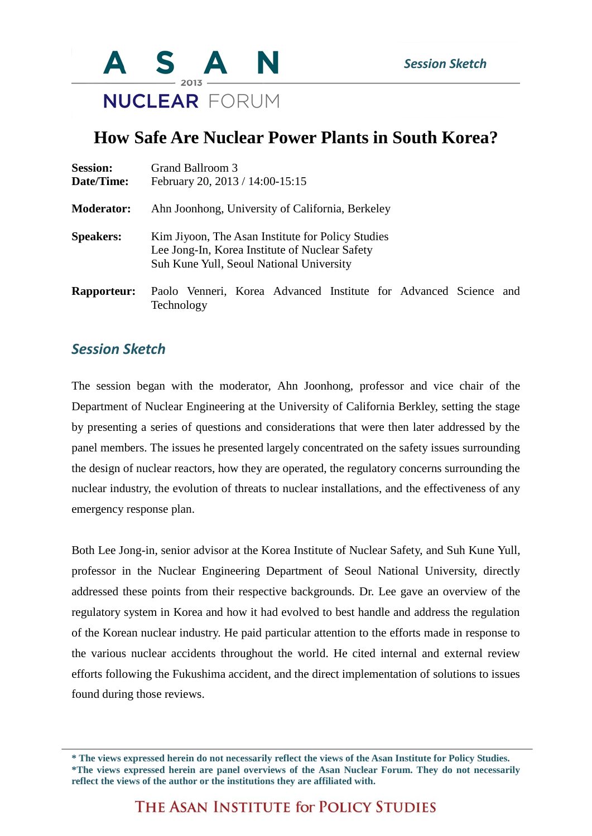

## **How Safe Are Nuclear Power Plants in South Korea?**

| <b>Session:</b><br>Date/Time: | Grand Ballroom 3<br>February 20, 2013 / 14:00-15:15                                                                                             |
|-------------------------------|-------------------------------------------------------------------------------------------------------------------------------------------------|
| <b>Moderator:</b>             | Ahn Joonhong, University of California, Berkeley                                                                                                |
| <b>Speakers:</b>              | Kim Jiyoon, The Asan Institute for Policy Studies<br>Lee Jong-In, Korea Institute of Nuclear Safety<br>Suh Kune Yull, Seoul National University |
| <b>Rapporteur:</b>            | Paolo Venneri, Korea Advanced Institute for Advanced Science and<br>Technology                                                                  |

## *Session Sketch*

The session began with the moderator, Ahn Joonhong, professor and vice chair of the Department of Nuclear Engineering at the University of California Berkley, setting the stage by presenting a series of questions and considerations that were then later addressed by the panel members. The issues he presented largely concentrated on the safety issues surrounding the design of nuclear reactors, how they are operated, the regulatory concerns surrounding the nuclear industry, the evolution of threats to nuclear installations, and the effectiveness of any emergency response plan.

Both Lee Jong-in, senior advisor at the Korea Institute of Nuclear Safety, and Suh Kune Yull, professor in the Nuclear Engineering Department of Seoul National University, directly addressed these points from their respective backgrounds. Dr. Lee gave an overview of the regulatory system in Korea and how it had evolved to best handle and address the regulation of the Korean nuclear industry. He paid particular attention to the efforts made in response to the various nuclear accidents throughout the world. He cited internal and external review efforts following the Fukushima accident, and the direct implementation of solutions to issues found during those reviews.

**<sup>\*</sup> The views expressed herein do not necessarily reflect the views of the Asan Institute for Policy Studies. \*The views expressed herein are panel overviews of the Asan Nuclear Forum. They do not necessarily reflect the views of the author or the institutions they are affiliated with.**